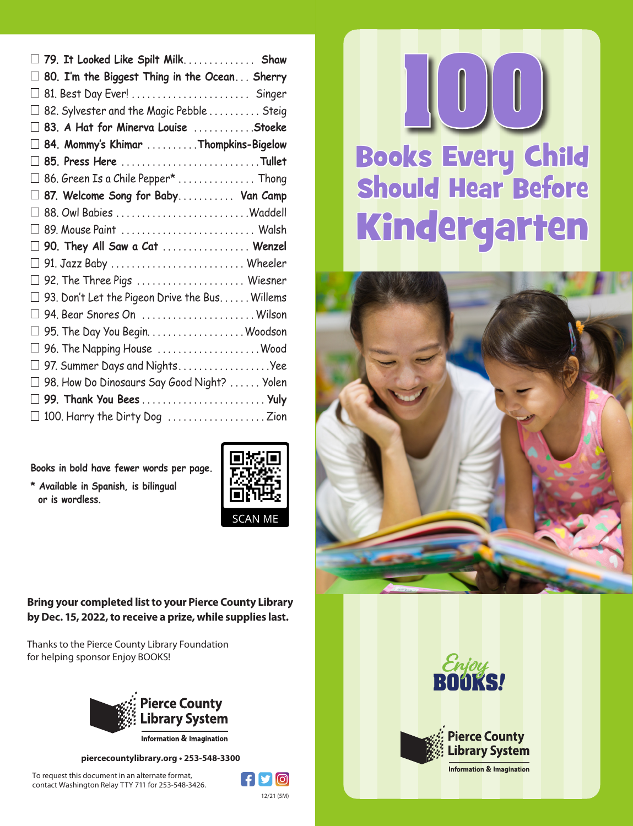|                   | $\Box$ 79. It Looked Like Spilt Milk Shaw                                                 |
|-------------------|-------------------------------------------------------------------------------------------|
|                   | $\Box$ 80. I'm the Biggest Thing in the Ocean Sherry                                      |
|                   |                                                                                           |
|                   | $\Box$ 82. Sylvester and the Magic Pebble $\ldots \ldots \ldots$ Steig                    |
|                   | $\Box$ 83. A Hat for Minerva Louise $\,\ldots\ldots\ldots\ldots$ Stoeke                   |
|                   | $\Box$ 84. Mommy's Khimar $\,\ldots\ldots\ldots\,$ Thompkins-Bigelow                      |
|                   | $\Box$ 85. Press Here $\ldots\ldots\ldots\ldots\ldots\ldots\ldots\ldots\ldots$ Tullet     |
|                   | $\Box$ 86. Green Is a Chile Pepper* $\ldots\ldots\ldots\ldots\ldots$ Thong                |
|                   | $\Box$ 87. Welcome Song for Baby Van Camp                                                 |
|                   | $\Box$ 88. Owl Babies $\ldots\ldots\ldots\ldots\ldots\ldots\ldots\ldots$ . Waddell        |
|                   | $\Box$ 89. Mouse Paint $\,\ldots\ldots\ldots\ldots\ldots\ldots\ldots\ldots\ldots\,$ Walsh |
|                   |                                                                                           |
|                   | $\Box$ 90. They All Saw a Cat $\ldots\ldots\ldots\ldots\ldots$ Wenzel                     |
|                   | $\Box$ 91. Jazz Baby $\ldots\ldots\ldots\ldots\ldots\ldots\ldots\ldots\ldots$ Wheeler     |
|                   | $\Box$ 92. The Three Pigs $\,\ldots\ldots\ldots\ldots\ldots\ldots\ldots\,$ Wiesner        |
|                   | $\Box$ 93. Don't Let the Pigeon Drive the Bus. Willems                                    |
|                   | $\Box$ 94. Bear Snores On $\,\ldots\ldots\ldots\ldots\ldots\ldots\ldots\ldots$ Wilson     |
|                   |                                                                                           |
|                   | $\Box$ 96. The Napping House $\,\ldots\ldots\ldots\ldots\ldots\ldots\ldots$ . Wood        |
| $\vert \ \ \vert$ | 97. Summer Days and NightsYee                                                             |
|                   | $\Box$ 98. How Do Dinosaurs Say Good Night? $\ldots \ldots$ Yolen                         |
|                   | $\Box$ 99. Thank You Bees $\ldots \ldots \ldots \ldots \ldots \ldots \ldots$              |

**Books in bold have fewer words per page.**

**\* Available in Spanish, is bilingual or is wordless.**



**Bring your completed list to your Pierce County Library by Dec. 15, 2022, to receive a prize, while supplies last.**

Thanks to the Pierce County Library Foundation for helping sponsor Enjoy BOOKS!

To request this document in an alternate format, contact Washington Relay TTY 711 for 253-548-3426.



**piercecountylibrary.org • 253-548-3300**











**Information & Imagination**